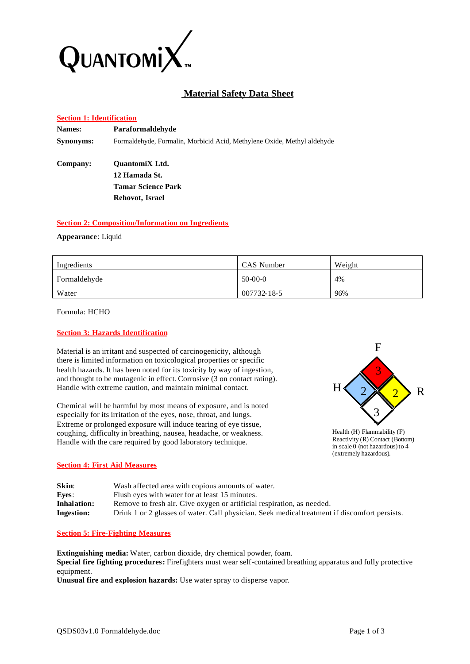

# **Material Safety Data Sheet**

## **Section 1: Identification**

| <b>Names:</b> | Paraformaldehyde                                                        |
|---------------|-------------------------------------------------------------------------|
| Synonyms:     | Formaldehyde, Formalin, Morbicid Acid, Methylene Oxide, Methyl aldehyde |
| Company:      | <b>OuantomiX</b> Ltd.                                                   |
|               | 12 Hamada St.                                                           |
|               | <b>Tamar Science Park</b>                                               |
|               | Rehovot, Israel                                                         |
|               |                                                                         |

#### **Section 2: Composition/Information on Ingredients**

**Appearance**: Liquid

| Ingredients  | CAS Number  | Weight |
|--------------|-------------|--------|
| Formaldehyde | $50-00-0$   | 4%     |
| Water        | 007732-18-5 | 96%    |

Formula: HCHO

# **Section 3: Hazards Identification**

Material is an irritant and suspected of carcinogenicity, although there is limited information on toxicological properties or specific health hazards. It has been noted for its toxicity by way of ingestion, and thought to be mutagenic in effect. Corrosive (3 on contact rating). Handle with extreme caution, and maintain minimal contact.

Chemical will be harmful by most means of exposure, and is noted especially for its irritation of the eyes, nose, throat, and lungs. Extreme or prolonged exposure will induce tearing of eye tissue, coughing, difficulty in breathing, nausea, headache, or weakness. Handle with the care required by good laboratory technique.





#### **Section 4: First Aid Measures**

| Skin:             | Wash affected area with copious amounts of water.                                             |
|-------------------|-----------------------------------------------------------------------------------------------|
| Eyes:             | Flush eyes with water for at least 15 minutes.                                                |
| Inhalation:       | Remove to fresh air. Give oxygen or artificial respiration, as needed.                        |
| <b>Ingestion:</b> | Drink 1 or 2 glasses of water. Call physician. Seek medical treatment if discomfort persists. |

#### **Section 5: Fire-Fighting Measures**

**Extinguishing media:** Water, carbon dioxide, dry chemical powder, foam. **Special fire fighting procedures:** Firefighters must wear self-contained breathing apparatus and fully protective equipment.

**Unusual fire and explosion hazards:** Use water spray to disperse vapor.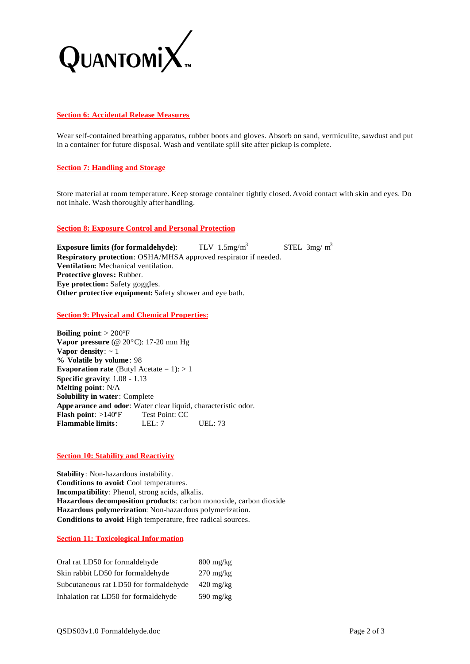

# **Section 6: Accidental Release Measures**

Wear self-contained breathing apparatus, rubber boots and gloves. Absorb on sand, vermiculite, sawdust and put in a container for future disposal. Wash and ventilate spill site after pickup is complete.

## **Section 7: Handling and Storage**

Store material at room temperature. Keep storage container tightly closed. Avoid contact with skin and eyes. Do not inhale. Wash thoroughly after handling.

#### **Section 8: Exposure Control and Personal Protection**

**Exposure limits (for formaldehyde):** TLV  $1.5 \text{mg/m}^3$ STEL  $3mg/m<sup>3</sup>$ **Respiratory protection**: OSHA/MHSA approved respirator if needed. **Ventilation:** Mechanical ventilation. **Protective gloves:** Rubber. **Eye protection:** Safety goggles. **Other protective equipment:** Safety shower and eye bath.

**Section 9: Physical and Chemical Properties:**

**Boiling point**: > 200°F **Vapor pressure** (@ 20°C): 17-20 mm Hg **Vapor density**: ~ 1 **% Volatile by volume** : 98 **Evaporation rate** (Butyl Acetate  $= 1$ ):  $> 1$ **Specific gravity**: 1.08 - 1.13 **Melting point**: N/A **Solubility in water**: Complete **Appearance and odor**: Water clear liquid, characteristic odor. Flash point: >140°F Test Point: CC **Flammable limits**: LEL: 7 UEL: 73

#### **Section 10: Stability and Reactivity**

**Stability**: Non-hazardous instability. **Conditions to avoid**: Cool temperatures. **Incompatibility**: Phenol, strong acids, alkalis. **Hazardous decomposition products**: carbon monoxide, carbon dioxide **Hazardous polymerization**: Non-hazardous polymerization. **Conditions to avoid**: High temperature, free radical sources.

## **Section 11: Toxicological Infor mation**

| Oral rat LD50 for formaldehyde         | $800 \text{ mg/kg}$ |
|----------------------------------------|---------------------|
| Skin rabbit LD50 for formaldehyde      | $270 \text{ mg/kg}$ |
| Subcutaneous rat LD50 for formaldehyde | $420 \text{ mg/kg}$ |
| Inhalation rat LD50 for formaldehyde   | $590 \text{ mg/kg}$ |